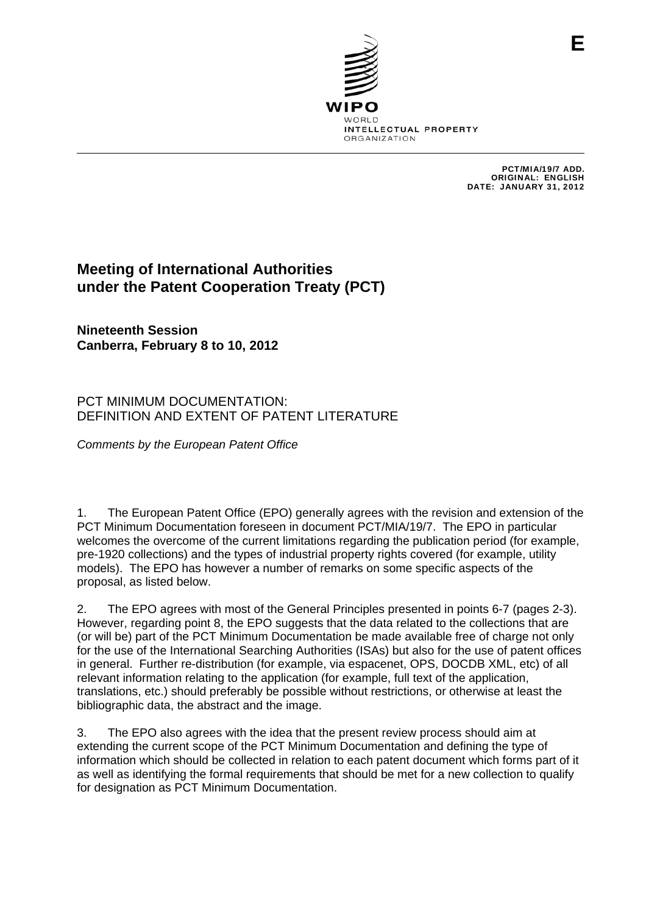

PCT/MIA/19/7 ADD. ORIGINAL: ENGLISH DATE: JANUARY 31, 2012

## **Meeting of International Authorities under the Patent Cooperation Treaty (PCT)**

**Nineteenth Session Canberra, February 8 to 10, 2012** 

## PCT MINIMUM DOCUMENTATION: DEFINITION AND EXTENT OF PATENT LITERATURE

*Comments by the European Patent Office* 

1. The European Patent Office (EPO) generally agrees with the revision and extension of the PCT Minimum Documentation foreseen in document PCT/MIA/19/7. The EPO in particular welcomes the overcome of the current limitations regarding the publication period (for example, pre-1920 collections) and the types of industrial property rights covered (for example, utility models). The EPO has however a number of remarks on some specific aspects of the proposal, as listed below.

2. The EPO agrees with most of the General Principles presented in points 6-7 (pages 2-3). However, regarding point 8, the EPO suggests that the data related to the collections that are (or will be) part of the PCT Minimum Documentation be made available free of charge not only for the use of the International Searching Authorities (ISAs) but also for the use of patent offices in general. Further re-distribution (for example, via espacenet, OPS, DOCDB XML, etc) of all relevant information relating to the application (for example, full text of the application, translations, etc.) should preferably be possible without restrictions, or otherwise at least the bibliographic data, the abstract and the image.

3. The EPO also agrees with the idea that the present review process should aim at extending the current scope of the PCT Minimum Documentation and defining the type of information which should be collected in relation to each patent document which forms part of it as well as identifying the formal requirements that should be met for a new collection to qualify for designation as PCT Minimum Documentation.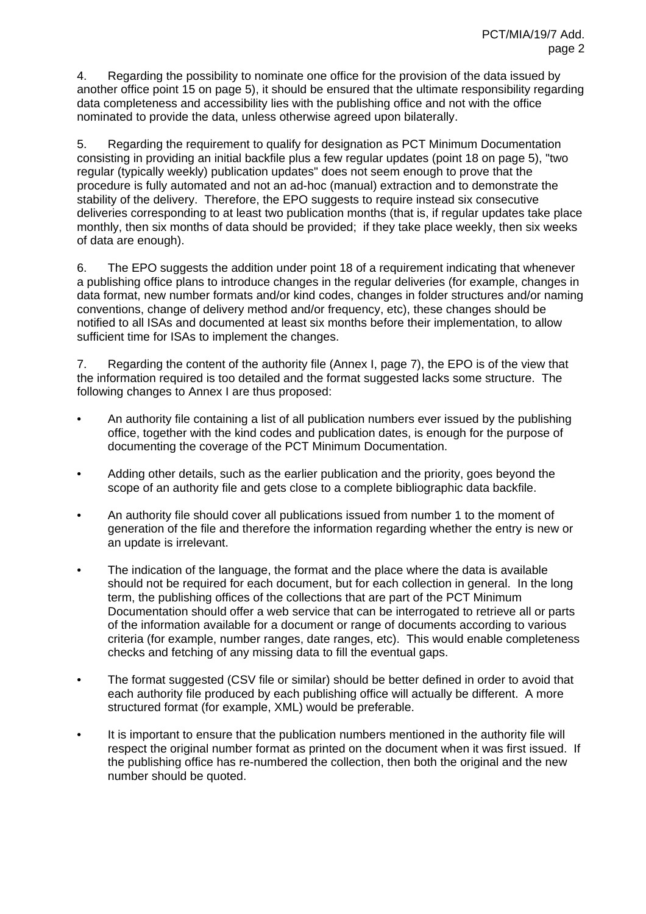4. Regarding the possibility to nominate one office for the provision of the data issued by another office point 15 on page 5), it should be ensured that the ultimate responsibility regarding data completeness and accessibility lies with the publishing office and not with the office nominated to provide the data, unless otherwise agreed upon bilaterally.

5. Regarding the requirement to qualify for designation as PCT Minimum Documentation consisting in providing an initial backfile plus a few regular updates (point 18 on page 5), "two regular (typically weekly) publication updates" does not seem enough to prove that the procedure is fully automated and not an ad-hoc (manual) extraction and to demonstrate the stability of the delivery. Therefore, the EPO suggests to require instead six consecutive deliveries corresponding to at least two publication months (that is, if regular updates take place monthly, then six months of data should be provided; if they take place weekly, then six weeks of data are enough).

6. The EPO suggests the addition under point 18 of a requirement indicating that whenever a publishing office plans to introduce changes in the regular deliveries (for example, changes in data format, new number formats and/or kind codes, changes in folder structures and/or naming conventions, change of delivery method and/or frequency, etc), these changes should be notified to all ISAs and documented at least six months before their implementation, to allow sufficient time for ISAs to implement the changes.

7. Regarding the content of the authority file (Annex I, page 7), the EPO is of the view that the information required is too detailed and the format suggested lacks some structure. The following changes to Annex I are thus proposed:

- An authority file containing a list of all publication numbers ever issued by the publishing office, together with the kind codes and publication dates, is enough for the purpose of documenting the coverage of the PCT Minimum Documentation.
- Adding other details, such as the earlier publication and the priority, goes beyond the scope of an authority file and gets close to a complete bibliographic data backfile.
- An authority file should cover all publications issued from number 1 to the moment of generation of the file and therefore the information regarding whether the entry is new or an update is irrelevant.
- The indication of the language, the format and the place where the data is available should not be required for each document, but for each collection in general. In the long term, the publishing offices of the collections that are part of the PCT Minimum Documentation should offer a web service that can be interrogated to retrieve all or parts of the information available for a document or range of documents according to various criteria (for example, number ranges, date ranges, etc). This would enable completeness checks and fetching of any missing data to fill the eventual gaps.
- The format suggested (CSV file or similar) should be better defined in order to avoid that each authority file produced by each publishing office will actually be different. A more structured format (for example, XML) would be preferable.
- It is important to ensure that the publication numbers mentioned in the authority file will respect the original number format as printed on the document when it was first issued. If the publishing office has re-numbered the collection, then both the original and the new number should be quoted.